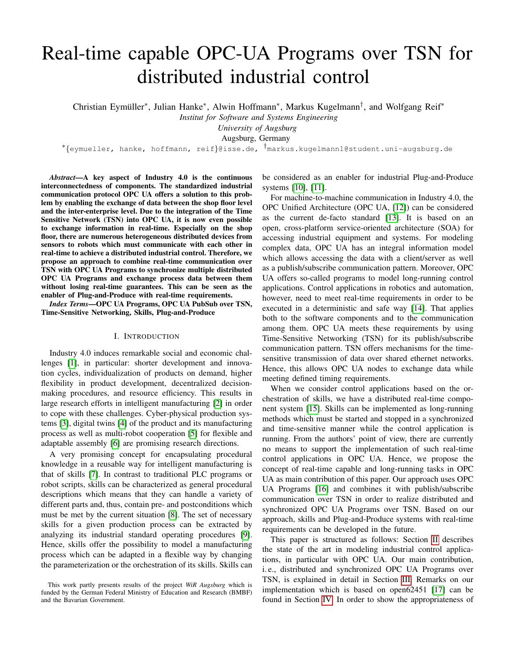# Real-time capable OPC-UA Programs over TSN for distributed industrial control

Christian Eymüller<sup>\*</sup>, Julian Hanke<sup>\*</sup>, Alwin Hoffmann<sup>\*</sup>, Markus Kugelmann<sup>†</sup>, and Wolfgang Reif<sup>\*</sup>

*Institut for Software and Systems Engineering*

*University of Augsburg*

Augsburg, Germany

∗ {eymueller, hanke, hoffmann, reif}@isse.de, †markus.kugelmann1@student.uni-augsburg.de

*Abstract*—A key aspect of Industry 4.0 is the continuous interconnectedness of components. The standardized industrial communication protocol OPC UA offers a solution to this problem by enabling the exchange of data between the shop floor level and the inter-enterprise level. Due to the integration of the Time Sensitive Network (TSN) into OPC UA, it is now even possible to exchange information in real-time. Especially on the shop floor, there are numerous heterogeneous distributed devices from sensors to robots which must communicate with each other in real-time to achieve a distributed industrial control. Therefore, we propose an approach to combine real-time communication over TSN with OPC UA Programs to synchronize multiple distributed OPC UA Programs and exchange process data between them without losing real-time guarantees. This can be seen as the enabler of Plug-and-Produce with real-time requirements.

*Index Terms*—OPC UA Programs, OPC UA PubSub over TSN, Time-Sensitive Networking, Skills, Plug-and-Produce

# I. INTRODUCTION

Industry 4.0 induces remarkable social and economic challenges [\[1\]](#page-7-0), in particular: shorter development and innovation cycles, individualization of products on demand, higher flexibility in product development, decentralized decisionmaking procedures, and resource efficiency. This results in large research efforts in intelligent manufacturing [\[2\]](#page-7-1) in order to cope with these challenges. Cyber-physical production systems [\[3\]](#page-7-2), digital twins [\[4\]](#page-7-3) of the product and its manufacturing process as well as multi-robot cooperation [\[5\]](#page-7-4) for flexible and adaptable assembly [\[6\]](#page-7-5) are promising research directions.

A very promising concept for encapsulating procedural knowledge in a reusable way for intelligent manufacturing is that of skills [\[7\]](#page-7-6). In contrast to traditional PLC programs or robot scripts, skills can be characterized as general procedural descriptions which means that they can handle a variety of different parts and, thus, contain pre- and postconditions which must be met by the current situation [\[8\]](#page-7-7). The set of necessary skills for a given production process can be extracted by analyzing its industrial standard operating procedures [\[9\]](#page-7-8). Hence, skills offer the possibility to model a manufacturing process which can be adapted in a flexible way by changing the parameterization or the orchestration of its skills. Skills can be considered as an enabler for industrial Plug-and-Produce systems [\[10\]](#page-7-9), [\[11\]](#page-7-10).

For machine-to-machine communication in Industry 4.0, the OPC Unified Architecture (OPC UA, [\[12\]](#page-7-11)) can be considered as the current de-facto standard [\[13\]](#page-7-12). It is based on an open, cross-platform service-oriented architecture (SOA) for accessing industrial equipment and systems. For modeling complex data, OPC UA has an integral information model which allows accessing the data with a client/server as well as a publish/subscribe communication pattern. Moreover, OPC UA offers so-called programs to model long-running control applications. Control applications in robotics and automation, however, need to meet real-time requirements in order to be executed in a deterministic and safe way [\[14\]](#page-7-13). That applies both to the software components and to the communication among them. OPC UA meets these requirements by using Time-Sensitive Networking (TSN) for its publish/subscribe communication pattern. TSN offers mechanisms for the timesensitive transmission of data over shared ethernet networks. Hence, this allows OPC UA nodes to exchange data while meeting defined timing requirements.

When we consider control applications based on the orchestration of skills, we have a distributed real-time component system [\[15\]](#page-7-14). Skills can be implemented as long-running methods which must be started and stopped in a synchronized and time-sensitive manner while the control application is running. From the authors' point of view, there are currently no means to support the implementation of such real-time control applications in OPC UA. Hence, we propose the concept of real-time capable and long-running tasks in OPC UA as main contribution of this paper. Our approach uses OPC UA Programs [\[16\]](#page-7-15) and combines it with publish/subscribe communication over TSN in order to realize distributed and synchronized OPC UA Programs over TSN. Based on our approach, skills and Plug-and-Produce systems with real-time requirements can be developed in the future.

This paper is structured as follows: Section [II](#page-1-0) describes the state of the art in modeling industrial control applications, in particular with OPC UA. Our main contribution, i. e., distributed and synchronized OPC UA Programs over TSN, is explained in detail in Section [III.](#page-2-0) Remarks on our implementation which is based on open62451 [\[17\]](#page-7-16) can be found in Section [IV.](#page-4-0) In order to show the appropriateness of

This work partly presents results of the project *WiR Augsburg* which is funded by the German Federal Ministry of Education and Research (BMBF) and the Bavarian Government.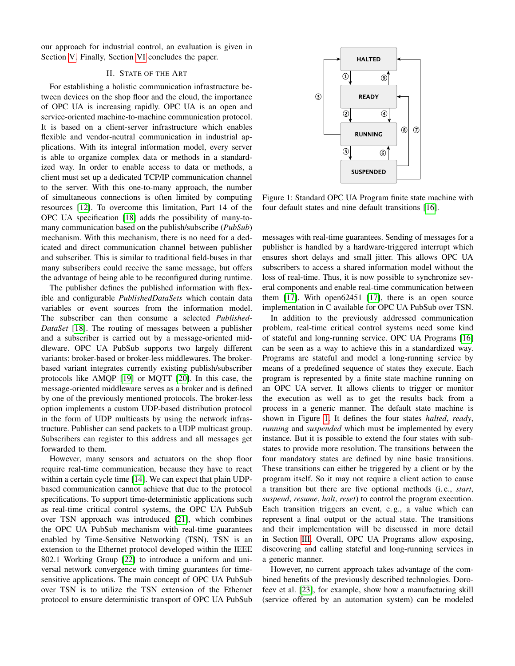our approach for industrial control, an evaluation is given in Section [V.](#page-5-0) Finally, Section [VI](#page-7-17) concludes the paper.

## II. STATE OF THE ART

<span id="page-1-0"></span>For establishing a holistic communication infrastructure between devices on the shop floor and the cloud, the importance of OPC UA is increasing rapidly. OPC UA is an open and service-oriented machine-to-machine communication protocol. It is based on a client-server infrastructure which enables flexible and vendor-neutral communication in industrial applications. With its integral information model, every server is able to organize complex data or methods in a standardized way. In order to enable access to data or methods, a client must set up a dedicated TCP/IP communication channel to the server. With this one-to-many approach, the number of simultaneous connections is often limited by computing resources [\[12\]](#page-7-11). To overcome this limitation, Part 14 of the OPC UA specification [\[18\]](#page-7-18) adds the possibility of many-tomany communication based on the publish/subscribe (*PubSub*) mechanism. With this mechanism, there is no need for a dedicated and direct communication channel between publisher and subscriber. This is similar to traditional field-buses in that many subscribers could receive the same message, but offers the advantage of being able to be reconfigured during runtime.

The publisher defines the published information with flexible and configurable *PublishedDataSets* which contain data variables or event sources from the information model. The subscriber can then consume a selected *Published-DataSet* [\[18\]](#page-7-18). The routing of messages between a publisher and a subscriber is carried out by a message-oriented middleware. OPC UA PubSub supports two largely different variants: broker-based or broker-less middlewares. The brokerbased variant integrates currently existing publish/subscriber protocols like AMQP [\[19\]](#page-7-19) or MQTT [\[20\]](#page-7-20). In this case, the message-oriented middleware serves as a broker and is defined by one of the previously mentioned protocols. The broker-less option implements a custom UDP-based distribution protocol in the form of UDP multicasts by using the network infrastructure. Publisher can send packets to a UDP multicast group. Subscribers can register to this address and all messages get forwarded to them.

However, many sensors and actuators on the shop floor require real-time communication, because they have to react within a certain cycle time [\[14\]](#page-7-13). We can expect that plain UDPbased communication cannot achieve that due to the protocol specifications. To support time-deterministic applications such as real-time critical control systems, the OPC UA PubSub over TSN approach was introduced [\[21\]](#page-7-21), which combines the OPC UA PubSub mechanism with real-time guarantees enabled by Time-Sensitive Networking (TSN). TSN is an extension to the Ethernet protocol developed within the IEEE 802.1 Working Group [\[22\]](#page-7-22) to introduce a uniform and universal network convergence with timing guarantees for timesensitive applications. The main concept of OPC UA PubSub over TSN is to utilize the TSN extension of the Ethernet protocol to ensure deterministic transport of OPC UA PubSub

<span id="page-1-1"></span>

Figure 1: Standard OPC UA Program finite state machine with four default states and nine default transitions [\[16\]](#page-7-15).

messages with real-time guarantees. Sending of messages for a publisher is handled by a hardware-triggered interrupt which ensures short delays and small jitter. This allows OPC UA subscribers to access a shared information model without the loss of real-time. Thus, it is now possible to synchronize several components and enable real-time communication between them [\[17\]](#page-7-16). With open62451 [\[17\]](#page-7-16), there is an open source implementation in C available for OPC UA PubSub over TSN.

In addition to the previously addressed communication problem, real-time critical control systems need some kind of stateful and long-running service. OPC UA Programs [\[16\]](#page-7-15) can be seen as a way to achieve this in a standardized way. Programs are stateful and model a long-running service by means of a predefined sequence of states they execute. Each program is represented by a finite state machine running on an OPC UA server. It allows clients to trigger or monitor the execution as well as to get the results back from a process in a generic manner. The default state machine is shown in Figure [1.](#page-1-1) It defines the four states *halted*, *ready*, *running* and *suspended* which must be implemented by every instance. But it is possible to extend the four states with substates to provide more resolution. The transitions between the four mandatory states are defined by nine basic transitions. These transitions can either be triggered by a client or by the program itself. So it may not require a client action to cause a transition but there are five optional methods (i. e., *start*, *suspend*, *resume*, *halt*, *reset*) to control the program execution. Each transition triggers an event, e. g., a value which can represent a final output or the actual state. The transitions and their implementation will be discussed in more detail in Section [III.](#page-2-0) Overall, OPC UA Programs allow exposing, discovering and calling stateful and long-running services in a generic manner.

However, no current approach takes advantage of the combined benefits of the previously described technologies. Dorofeev et al. [\[23\]](#page-7-23), for example, show how a manufacturing skill (service offered by an automation system) can be modeled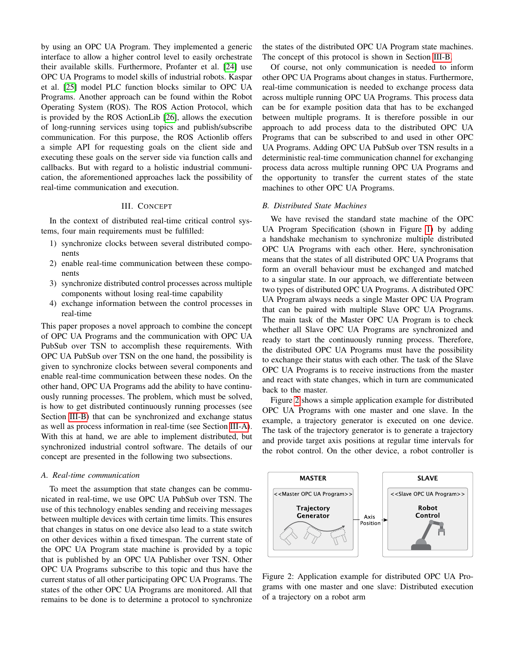by using an OPC UA Program. They implemented a generic interface to allow a higher control level to easily orchestrate their available skills. Furthermore, Profanter et al. [\[24\]](#page-7-24) use OPC UA Programs to model skills of industrial robots. Kaspar et al. [\[25\]](#page-7-25) model PLC function blocks similar to OPC UA Programs. Another approach can be found within the Robot Operating System (ROS). The ROS Action Protocol, which is provided by the ROS ActionLib [\[26\]](#page-7-26), allows the execution of long-running services using topics and publish/subscribe communication. For this purpose, the ROS Actionlib offers a simple API for requesting goals on the client side and executing these goals on the server side via function calls and callbacks. But with regard to a holistic industrial communication, the aforementioned approaches lack the possibility of real-time communication and execution.

#### III. CONCEPT

<span id="page-2-0"></span>In the context of distributed real-time critical control systems, four main requirements must be fulfilled:

- 1) synchronize clocks between several distributed components
- 2) enable real-time communication between these components
- 3) synchronize distributed control processes across multiple components without losing real-time capability
- 4) exchange information between the control processes in real-time

This paper proposes a novel approach to combine the concept of OPC UA Programs and the communication with OPC UA PubSub over TSN to accomplish these requirements. With OPC UA PubSub over TSN on the one hand, the possibility is given to synchronize clocks between several components and enable real-time communication between these nodes. On the other hand, OPC UA Programs add the ability to have continuously running processes. The problem, which must be solved, is how to get distributed continuously running processes (see Section [III-B\)](#page-2-1) that can be synchronized and exchange status as well as process information in real-time (see Section [III-A\)](#page-2-2). With this at hand, we are able to implement distributed, but synchronized industrial control software. The details of our concept are presented in the following two subsections.

#### <span id="page-2-2"></span>*A. Real-time communication*

To meet the assumption that state changes can be communicated in real-time, we use OPC UA PubSub over TSN. The use of this technology enables sending and receiving messages between multiple devices with certain time limits. This ensures that changes in status on one device also lead to a state switch on other devices within a fixed timespan. The current state of the OPC UA Program state machine is provided by a topic that is published by an OPC UA Publisher over TSN. Other OPC UA Programs subscribe to this topic and thus have the current status of all other participating OPC UA Programs. The states of the other OPC UA Programs are monitored. All that remains to be done is to determine a protocol to synchronize the states of the distributed OPC UA Program state machines. The concept of this protocol is shown in Section [III-B.](#page-2-1)

Of course, not only communication is needed to inform other OPC UA Programs about changes in status. Furthermore, real-time communication is needed to exchange process data across multiple running OPC UA Programs. This process data can be for example position data that has to be exchanged between multiple programs. It is therefore possible in our approach to add process data to the distributed OPC UA Programs that can be subscribed to and used in other OPC UA Programs. Adding OPC UA PubSub over TSN results in a deterministic real-time communication channel for exchanging process data across multiple running OPC UA Programs and the opportunity to transfer the current states of the state machines to other OPC UA Programs.

#### <span id="page-2-1"></span>*B. Distributed State Machines*

We have revised the standard state machine of the OPC UA Program Specification (shown in Figure [1\)](#page-1-1) by adding a handshake mechanism to synchronize multiple distributed OPC UA Programs with each other. Here, synchronisation means that the states of all distributed OPC UA Programs that form an overall behaviour must be exchanged and matched to a singular state. In our approach, we differentiate between two types of distributed OPC UA Programs. A distributed OPC UA Program always needs a single Master OPC UA Program that can be paired with multiple Slave OPC UA Programs. The main task of the Master OPC UA Program is to check whether all Slave OPC UA Programs are synchronized and ready to start the continuously running process. Therefore, the distributed OPC UA Programs must have the possibility to exchange their status with each other. The task of the Slave OPC UA Programs is to receive instructions from the master and react with state changes, which in turn are communicated back to the master.

Figure [2](#page-2-3) shows a simple application example for distributed OPC UA Programs with one master and one slave. In the example, a trajectory generator is executed on one device. The task of the trajectory generator is to generate a trajectory and provide target axis positions at regular time intervals for the robot control. On the other device, a robot controller is

<span id="page-2-3"></span>

Figure 2: Application example for distributed OPC UA Programs with one master and one slave: Distributed execution of a trajectory on a robot arm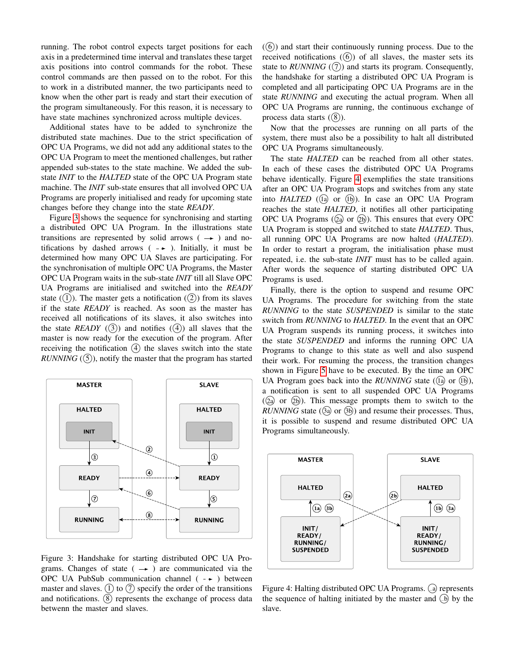running. The robot control expects target positions for each axis in a predetermined time interval and translates these target axis positions into control commands for the robot. These control commands are then passed on to the robot. For this to work in a distributed manner, the two participants need to know when the other part is ready and start their execution of the program simultaneously. For this reason, it is necessary to have state machines synchronized across multiple devices.

Additional states have to be added to synchronize the distributed state machines. Due to the strict specification of OPC UA Programs, we did not add any additional states to the OPC UA Program to meet the mentioned challenges, but rather appended sub-states to the state machine. We added the substate *INIT* to the *HALTED* state of the OPC UA Program state machine. The *INIT* sub-state ensures that all involved OPC UA Programs are properly initialised and ready for upcoming state changes before they change into the state *READY*.

Figure [3](#page-3-0) shows the sequence for synchronising and starting a distributed OPC UA Program. In the illustrations state transitions are represented by solid arrows  $($   $\rightarrow$   $)$  and notifications by dashed arrows  $($  -  $\rightarrow$  ). Initially, it must be determined how many OPC UA Slaves are participating. For the synchronisation of multiple OPC UA Programs, the Master OPC UA Program waits in the sub-state *INIT* till all Slave OPC UA Programs are initialised and switched into the *READY* state  $(1)$ ). The master gets a notification  $(2)$ ) from its slaves if the state *READY* is reached. As soon as the master has received all notifications of its slaves, it also switches into the state *READY*  $(3)$  and notifies  $(4)$  all slaves that the master is now ready for the execution of the program. After receiving the notification  $(4)$  the slaves switch into the state *RUNNING*  $((5))$ , notify the master that the program has started

<span id="page-3-0"></span>

Figure 3: Handshake for starting distributed OPC UA Programs. Changes of state ( $\rightarrow$ ) are communicated via the OPC UA PubSub communication channel  $( - \rightarrow )$  between master and slaves.  $(1)$  to  $(7)$  specify the order of the transitions and notifications.  $\circled{8}$  represents the exchange of process data betwenn the master and slaves.

(6)) and start their continuously running process. Due to the received notifications  $(6)$  of all slaves, the master sets its state to  $RUNNING$  ( $(7)$ ) and starts its program. Consequently, the handshake for starting a distributed OPC UA Program is completed and all participating OPC UA Programs are in the state *RUNNING* and executing the actual program. When all OPC UA Programs are running, the continuous exchange of process data starts  $((8))$ .

Now that the processes are running on all parts of the system, there must also be a possibility to halt all distributed OPC UA Programs simultaneously.

The state *HALTED* can be reached from all other states. In each of these cases the distributed OPC UA Programs behave identically. Figure [4](#page-3-1) exemplifies the state transitions after an OPC UA Program stops and switches from any state into *HALTED* ((ia) or (ib)). In case an OPC UA Program reaches the state *HALTED*, it notifies all other participating OPC UA Programs  $(2a)$  or  $(2b)$ ). This ensures that every OPC UA Program is stopped and switched to state *HALTED*. Thus, all running OPC UA Programs are now halted (*HALTED*). In order to restart a program, the initialisation phase must repeated, i.e. the sub-state *INIT* must has to be called again. After words the sequence of starting distributed OPC UA Programs is used.

Finally, there is the option to suspend and resume OPC UA Programs. The procedure for switching from the state *RUNNING* to the state *SUSPENDED* is similar to the state switch from *RUNNING* to *HALTED*. In the event that an OPC UA Program suspends its running process, it switches into the state *SUSPENDED* and informs the running OPC UA Programs to change to this state as well and also suspend their work. For resuming the process, the transition changes shown in Figure [5](#page-4-1) have to be executed. By the time an OPC UA Program goes back into the *RUNNING* state  $(1a)$  or  $(1b)$ ), a notification is sent to all suspended OPC UA Programs ( $(2)$  or  $(2)$ ). This message prompts them to switch to the *RUNNING* state  $(3a)$  or  $(3b)$  and resume their processes. Thus, it is possible to suspend and resume distributed OPC UA Programs simultaneously.

<span id="page-3-1"></span>

Figure 4: Halting distributed OPC UA Programs. (a) represents the sequence of halting initiated by the master and  $\overline{A}$  by the slave.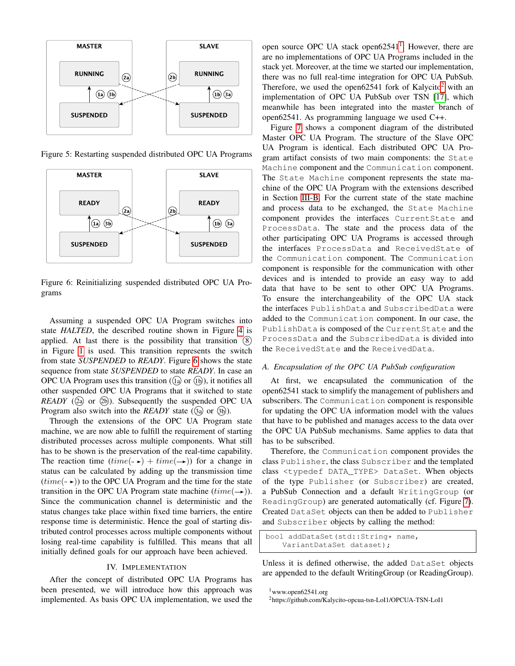<span id="page-4-1"></span>

Figure 5: Restarting suspended distributed OPC UA Programs

<span id="page-4-2"></span>

Figure 6: Reinitializing suspended distributed OPC UA Programs

Assuming a suspended OPC UA Program switches into state *HALTED*, the described routine shown in Figure [4](#page-3-1) is applied. At last there is the possibility that transition 8 in Figure [1](#page-1-1) is used. This transition represents the switch from state *SUSPENDED* to *READY*. Figure [6](#page-4-2) shows the state sequence from state *SUSPENDED* to state *READY*. In case an OPC UA Program uses this transition  $((1a)$  or  $(1b)$ ), it notifies all other suspended OPC UA Programs that it switched to state  $READV$  ( $(2a)$  or  $(2b)$ ). Subsequently the suspended OPC UA Program also switch into the *READY* state (3a) or (3b).

Through the extensions of the OPC UA Program state machine, we are now able to fulfill the requirement of starting distributed processes across multiple components. What still has to be shown is the preservation of the real-time capability. The reaction time  $(time(-\rightarrow) + time(\rightarrow))$  for a change in status can be calculated by adding up the transmission time  $(time(-))$  to the OPC UA Program and the time for the state transition in the OPC UA Program state machine  $(time(\rightarrow))$ . Since the communication channel is deterministic and the status changes take place within fixed time barriers, the entire response time is deterministic. Hence the goal of starting distributed control processes across multiple components without losing real-time capability is fulfilled. This means that all initially defined goals for our approach have been achieved.

#### IV. IMPLEMENTATION

<span id="page-4-0"></span>After the concept of distributed OPC UA Programs has been presented, we will introduce how this approach was implemented. As basis OPC UA implementation, we used the

open source OPC UA stack open6254[1](#page-4-3) $^1$ . However, there are are no implementations of OPC UA Programs included in the stack yet. Moreover, at the time we started our implementation, there was no full real-time integration for OPC UA PubSub. Therefore, we used the open6[2](#page-4-4)541 fork of Kalycito<sup>2</sup> with an implementation of OPC UA PubSub over TSN [\[17\]](#page-7-16), which meanwhile has been integrated into the master branch of open62541. As programming language we used C++.

Figure [7](#page-5-1) shows a component diagram of the distributed Master OPC UA Program. The structure of the Slave OPC UA Program is identical. Each distributed OPC UA Program artifact consists of two main components: the State Machine component and the Communication component. The State Machine component represents the state machine of the OPC UA Program with the extensions described in Section [III-B.](#page-2-1) For the current state of the state machine and process data to be exchanged, the State Machine component provides the interfaces CurrentState and ProcessData. The state and the process data of the other participating OPC UA Programs is accessed through the interfaces ProcessData and ReceivedState of the Communication component. The Communication component is responsible for the communication with other devices and is intended to provide an easy way to add data that have to be sent to other OPC UA Programs. To ensure the interchangeability of the OPC UA stack the interfaces PublishData and SubscribedData were added to the Communication component. In our case, the PublishData is composed of the CurrentState and the ProcessData and the SubscribedData is divided into the ReceivedState and the ReceivedData.

## *A. Encapsulation of the OPC UA PubSub configuration*

At first, we encapsulated the communication of the open62541 stack to simplify the management of publishers and subscribers. The Communication component is responsible for updating the OPC UA information model with the values that have to be published and manages access to the data over the OPC UA PubSub mechanisms. Same applies to data that has to be subscribed.

Therefore, the Communication component provides the class Publisher, the class Subscriber and the templated class <typedef DATA\_TYPE> DataSet. When objects of the type Publisher (or Subscriber) are created, a PubSub Connection and a default WritingGroup (or ReadingGroup) are generated automatically (cf. Figure [7\)](#page-5-1). Created DataSet objects can then be added to Publisher and Subscriber objects by calling the method:

```
bool addDataSet(std::String* name,
   VariantDataSet dataset);
```
Unless it is defined otherwise, the added DataSet objects are appended to the default WritingGroup (or ReadingGroup).

<span id="page-4-3"></span><sup>1</sup>www.open62541.org

<span id="page-4-4"></span><sup>2</sup>https://github.com/Kalycito-opcua-tsn-LoI1/OPCUA-TSN-LoI1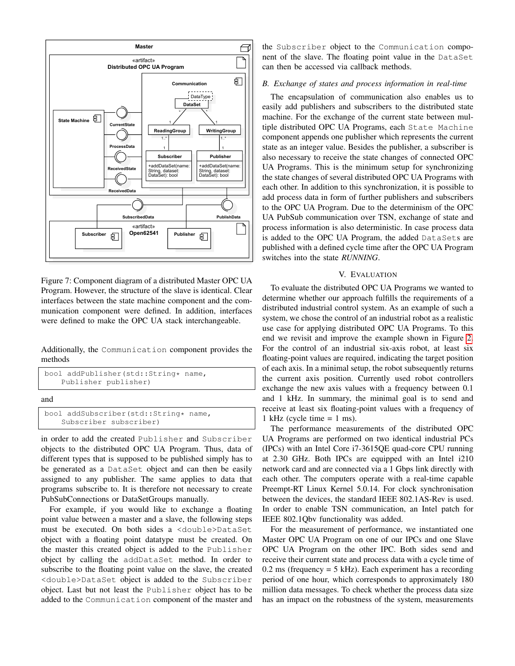<span id="page-5-1"></span>

Figure 7: Component diagram of a distributed Master OPC UA Program. However, the structure of the slave is identical. Clear interfaces between the state machine component and the communication component were defined. In addition, interfaces were defined to make the OPC UA stack interchangeable.

Additionally, the Communication component provides the methods

```
bool addPublisher(std::String* name,
    Publisher publisher)
and
bool addSubscriber(std::String* name,
    Subscriber subscriber)
```
in order to add the created Publisher and Subscriber objects to the distributed OPC UA Program. Thus, data of different types that is supposed to be published simply has to be generated as a DataSet object and can then be easily assigned to any publisher. The same applies to data that programs subscribe to. It is therefore not necessary to create PubSubConnections or DataSetGroups manually.

For example, if you would like to exchange a floating point value between a master and a slave, the following steps must be executed. On both sides a <double>DataSet object with a floating point datatype must be created. On the master this created object is added to the Publisher object by calling the addDataSet method. In order to subscribe to the floating point value on the slave, the created <double>DataSet object is added to the Subscriber object. Last but not least the Publisher object has to be added to the Communication component of the master and

the Subscriber object to the Communication component of the slave. The floating point value in the DataSet can then be accessed via callback methods.

# *B. Exchange of states and process information in real-time*

The encapsulation of communication also enables us to easily add publishers and subscribers to the distributed state machine. For the exchange of the current state between multiple distributed OPC UA Programs, each State Machine component appends one publisher which represents the current state as an integer value. Besides the publisher, a subscriber is also necessary to receive the state changes of connected OPC UA Programs. This is the minimum setup for synchronizing the state changes of several distributed OPC UA Programs with each other. In addition to this synchronization, it is possible to add process data in form of further publishers and subscribers to the OPC UA Program. Due to the determinism of the OPC UA PubSub communication over TSN, exchange of state and process information is also deterministic. In case process data is added to the OPC UA Program, the added DataSets are published with a defined cycle time after the OPC UA Program switches into the state *RUNNING*.

## V. EVALUATION

<span id="page-5-0"></span>To evaluate the distributed OPC UA Programs we wanted to determine whether our approach fulfills the requirements of a distributed industrial control system. As an example of such a system, we chose the control of an industrial robot as a realistic use case for applying distributed OPC UA Programs. To this end we revisit and improve the example shown in Figure [2.](#page-2-3) For the control of an industrial six-axis robot, at least six floating-point values are required, indicating the target position of each axis. In a minimal setup, the robot subsequently returns the current axis position. Currently used robot controllers exchange the new axis values with a frequency between 0.1 and 1 kHz. In summary, the minimal goal is to send and receive at least six floating-point values with a frequency of 1 kHz (cycle time  $= 1$  ms).

The performance measurements of the distributed OPC UA Programs are performed on two identical industrial PCs (IPCs) with an Intel Core i7-3615QE quad-core CPU running at 2.30 GHz. Both IPCs are equipped with an Intel i210 network card and are connected via a 1 Gbps link directly with each other. The computers operate with a real-time capable Preempt-RT Linux Kernel 5.0.14. For clock synchronisation between the devices, the standard IEEE 802.1AS-Rev is used. In order to enable TSN communication, an Intel patch for IEEE 802.1Qbv functionality was added.

For the measurement of performance, we instantiated one Master OPC UA Program on one of our IPCs and one Slave OPC UA Program on the other IPC. Both sides send and receive their current state and process data with a cycle time of  $0.2 \text{ ms}$  (frequency = 5 kHz). Each experiment has a recording period of one hour, which corresponds to approximately 180 million data messages. To check whether the process data size has an impact on the robustness of the system, measurements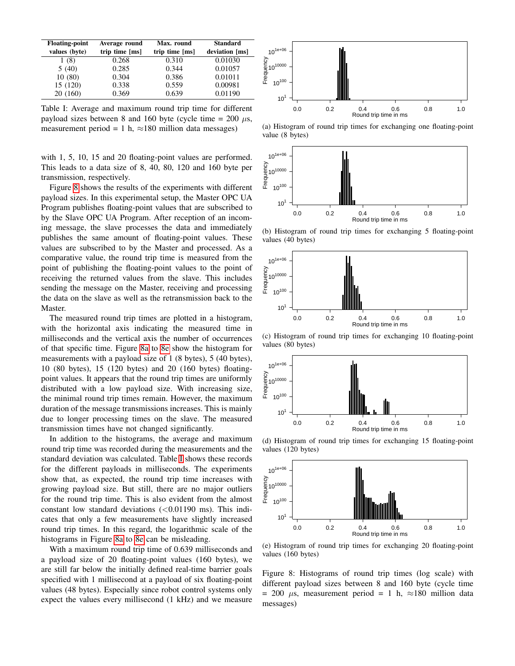<span id="page-6-1"></span>

| <b>Floating-point</b> | Average round  | Max. round     | <b>Standard</b> |
|-----------------------|----------------|----------------|-----------------|
| values (byte)         | trip time [ms] | trip time [ms] | deviation [ms]  |
| 1 (8)                 | 0.268          | 0.310          | 0.01030         |
| 5(40)                 | 0.285          | 0.344          | 0.01057         |
| 10(80)                | 0.304          | 0.386          | 0.01011         |
| 15 (120)              | 0.338          | 0.559          | 0.00981         |
| 20(160)               | 0.369          | 0.639          | 0.01190         |

Table I: Average and maximum round trip time for different payload sizes between 8 and 160 byte (cycle time = 200  $\mu$ s, measurement period = 1 h,  $\approx$ 180 million data messages)

with 1, 5, 10, 15 and 20 floating-point values are performed. This leads to a data size of 8, 40, 80, 120 and 160 byte per transmission, respectively.

Figure [8](#page-6-0) shows the results of the experiments with different payload sizes. In this experimental setup, the Master OPC UA Program publishes floating-point values that are subscribed to by the Slave OPC UA Program. After reception of an incoming message, the slave processes the data and immediately publishes the same amount of floating-point values. These values are subscribed to by the Master and processed. As a comparative value, the round trip time is measured from the point of publishing the floating-point values to the point of receiving the returned values from the slave. This includes sending the message on the Master, receiving and processing the data on the slave as well as the retransmission back to the Master.

The measured round trip times are plotted in a histogram, with the horizontal axis indicating the measured time in milliseconds and the vertical axis the number of occurrences of that specific time. Figure [8a](#page-6-0) to [8e](#page-6-0) show the histogram for measurements with a payload size of 1 (8 bytes), 5 (40 bytes), 10 (80 bytes), 15 (120 bytes) and 20 (160 bytes) floatingpoint values. It appears that the round trip times are uniformly distributed with a low payload size. With increasing size, the minimal round trip times remain. However, the maximum duration of the message transmissions increases. This is mainly due to longer processing times on the slave. The measured transmission times have not changed significantly.

In addition to the histograms, the average and maximum round trip time was recorded during the measurements and the standard deviation was calculated. Table [I](#page-6-1) shows these records for the different payloads in milliseconds. The experiments show that, as expected, the round trip time increases with growing payload size. But still, there are no major outliers for the round trip time. This is also evident from the almost constant low standard deviations  $(<0.01190$  ms). This indicates that only a few measurements have slightly increased round trip times. In this regard, the logarithmic scale of the histograms in Figure [8a](#page-6-0) to [8e](#page-6-0) can be misleading.

With a maximum round trip time of 0.639 milliseconds and a payload size of 20 floating-point values (160 bytes), we are still far below the initially defined real-time barrier goals specified with 1 millisecond at a payload of six floating-point values (48 bytes). Especially since robot control systems only expect the values every millisecond (1 kHz) and we measure

<span id="page-6-0"></span>

(a) Histogram of round trip times for exchanging one floating-point value (8 bytes)



(b) Histogram of round trip times for exchanging 5 floating-point values (40 bytes)



(c) Histogram of round trip times for exchanging 10 floating-point values (80 bytes)



(d) Histogram of round trip times for exchanging 15 floating-point values (120 bytes)



(e) Histogram of round trip times for exchanging 20 floating-point values (160 bytes)

Figure 8: Histograms of round trip times (log scale) with different payload sizes between 8 and 160 byte (cycle time  $= 200 \mu s$ , measurement period  $= 1$  h,  $\approx 180$  million data messages)